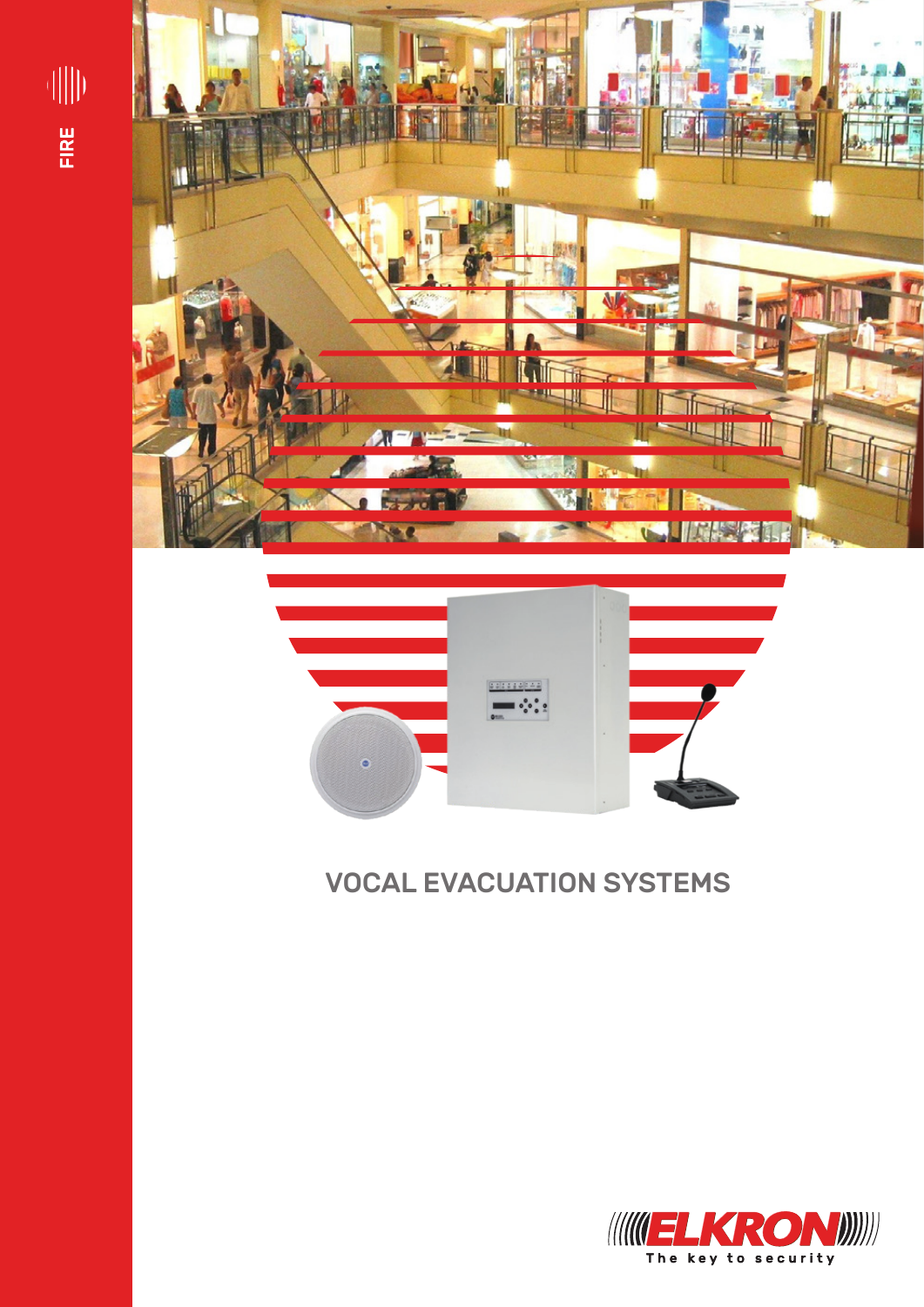





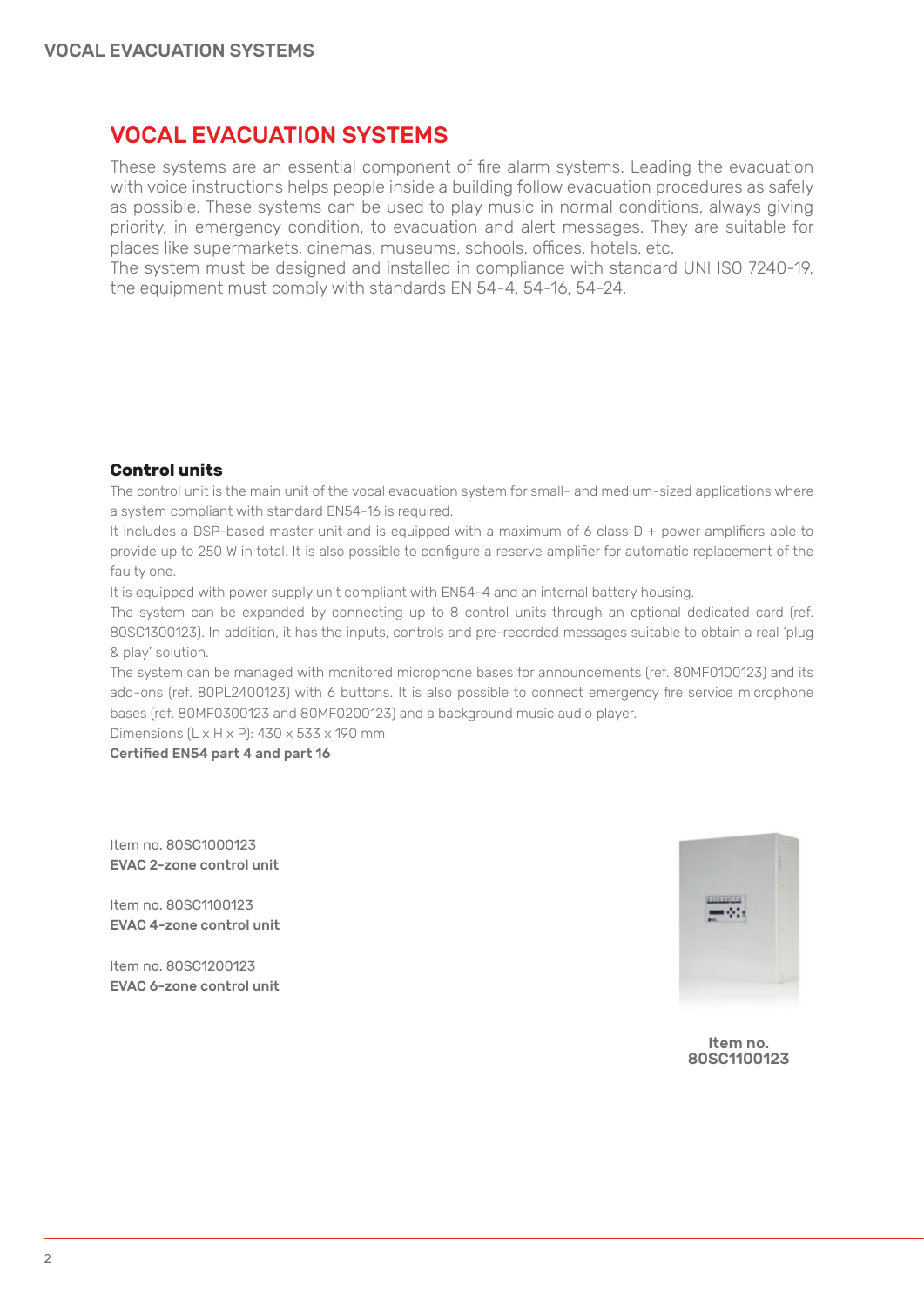These systems are an essential component of fire alarm systems. Leading the evacuation with voice instructions helps people inside a building follow evacuation procedures as safely as possible. These systems can be used to play music in normal conditions, always giving priority, in emergency condition, to evacuation and alert messages. They are suitable for places like supermarkets, cinemas, museums, schools, offices, hotels, etc.

The system must be designed and installed in compliance with standard UNI ISO 7240-19, the equipment must comply with standards EN 54-4, 54-16, 54-24.

## **Control units**

The control unit is the main unit of the vocal evacuation system for small- and medium-sized applications where a system compliant with standard EN54-16 is required.

It includes a DSP-based master unit and is equipped with a maximum of 6 class D + power amplifiers able to provide up to 250 W in total. It is also possible to configure a reserve amplifier for automatic replacement of the faulty one.

It is equipped with power supply unit compliant with EN54-4 and an internal battery housing.

The system can be expanded by connecting up to 8 control units through an optional dedicated card (ref. 80SC1300123). In addition, it has the inputs, controls and pre-recorded messages suitable to obtain a real 'plug & play' solution.

The system can be managed with monitored microphone bases for announcements (ref. 80MF0100123) and its add-ons (ref. 80PL2400123) with 6 buttons. It is also possible to connect emergency fire service microphone bases (ref. 80MF0300123 and 80MF0200123) and a background music audio player.

Dimensions (L x H x P): 430 x 533 x 190 mm

Certified EN54 part 4 and part 16

Item no. 80SC1000123 EVAC 2-zone control unit

Item no. 80SC1100123 EVAC 4-zone control unit

Item no. 80SC1200123 EVAC 6-zone control unit



Item no. 80SC1100123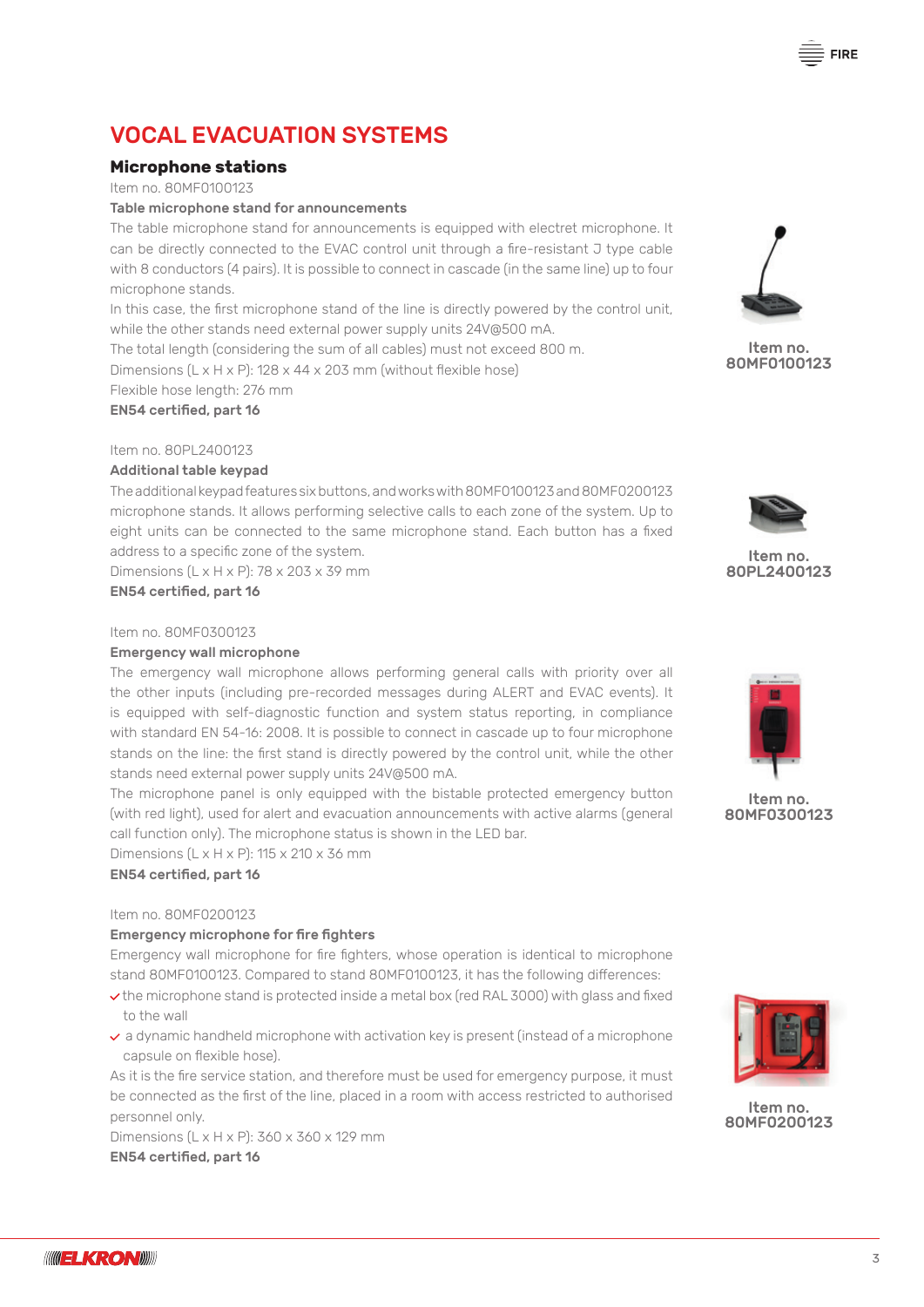## **Microphone stations**

Item no. 80MF0100123

#### Table microphone stand for announcements

The table microphone stand for announcements is equipped with electret microphone. It can be directly connected to the EVAC control unit through a fire-resistant J type cable with 8 conductors (4 pairs). It is possible to connect in cascade (in the same line) up to four microphone stands.

In this case, the first microphone stand of the line is directly powered by the control unit, while the other stands need external power supply units 24V@500 mA.

The total length (considering the sum of all cables) must not exceed 800 m. Dimensions (L x H x P): 128 x 44 x 203 mm (without flexible hose)

Flexible hose length: 276 mm

## EN54 certified, part 16

## Item no. 80PL2400123

#### Additional table keypad

The additional keypad features six buttons, and works with 80MF0100123 and 80MF0200123 microphone stands. It allows performing selective calls to each zone of the system. Up to eight units can be connected to the same microphone stand. Each button has a fixed address to a specific zone of the system.

Dimensions  $(L \times H \times P)$ : 78 x 203 x 39 mm

EN54 certified, part 16

#### Item no. 80MF0300123

#### Emergency wall microphone

The emergency wall microphone allows performing general calls with priority over all the other inputs (including pre-recorded messages during ALERT and EVAC events). It is equipped with self-diagnostic function and system status reporting, in compliance with standard EN 54-16: 2008. It is possible to connect in cascade up to four microphone stands on the line: the first stand is directly powered by the control unit, while the other stands need external power supply units 24V@500 mA.

The microphone panel is only equipped with the bistable protected emergency button (with red light), used for alert and evacuation announcements with active alarms (general call function only). The microphone status is shown in the LED bar.

Dimensions  $(L \times H \times P)$ : 115  $\times$  210  $\times$  36 mm

EN54 certified, part 16

#### Item no. 80MF0200123

### Emergency microphone for fire fighters

Emergency wall microphone for fire fighters, whose operation is identical to microphone stand 80MF0100123. Compared to stand 80MF0100123, it has the following differences:

- $\vee$  the microphone stand is protected inside a metal box (red RAL 3000) with glass and fixed to the wall
- $\vee$  a dynamic handheld microphone with activation key is present (instead of a microphone capsule on flexible hose).

As it is the fire service station, and therefore must be used for emergency purpose, it must be connected as the first of the line, placed in a room with access restricted to authorised personnel only.

Dimensions (L x H x P): 360 x 360 x 129 mm EN54 certified, part 16

Item no.

80MF0100123



Item no. 80PL2400123



Item no. 80MF0300123



Item no. 80MF0200123

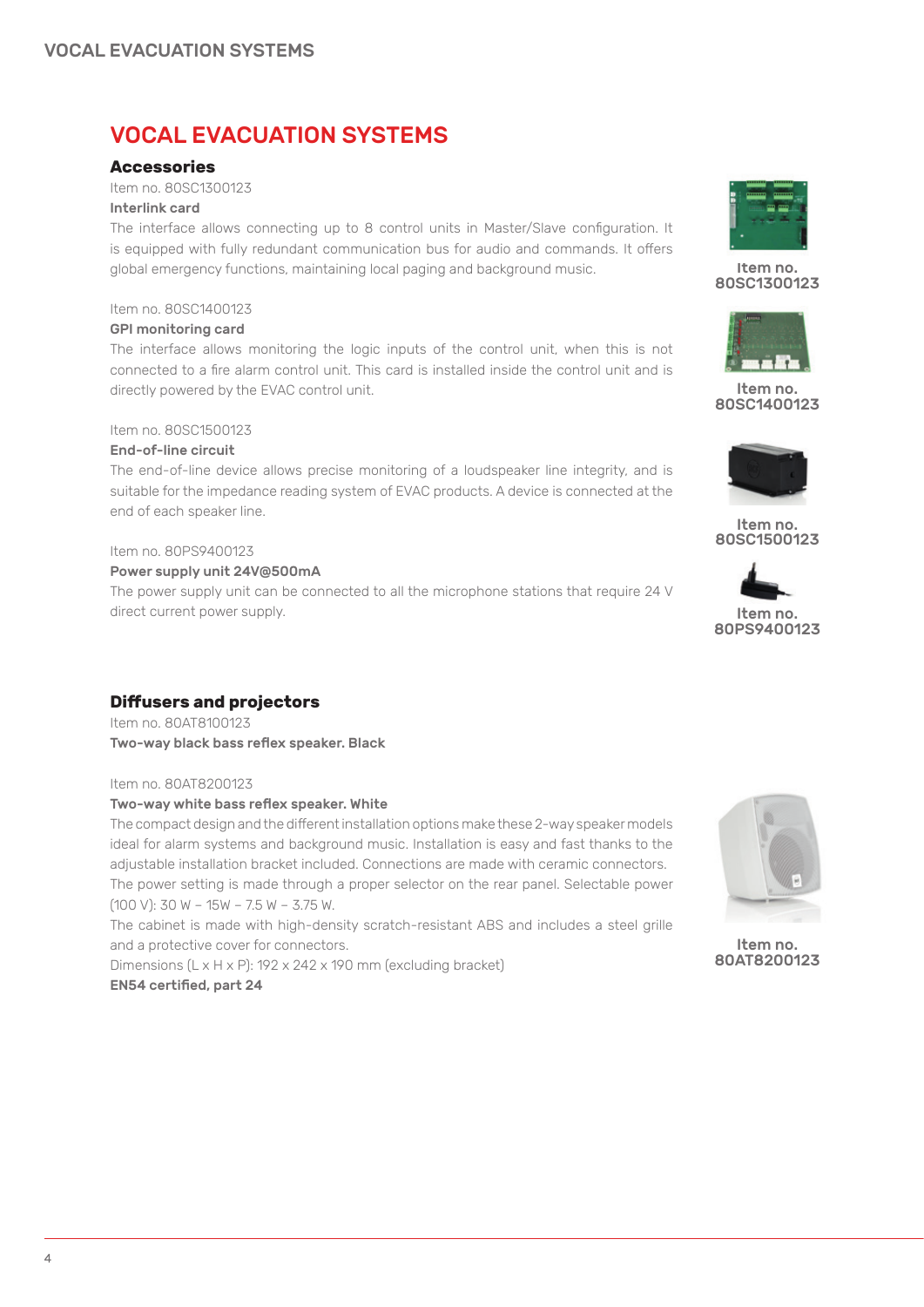## **Accessories**

Item no. 80SC1300123 Interlink card

The interface allows connecting up to 8 control units in Master/Slave configuration. It is equipped with fully redundant communication bus for audio and commands. It offers global emergency functions, maintaining local paging and background music.

## Item no. 80SC1400123

## GPI monitoring card

The interface allows monitoring the logic inputs of the control unit, when this is not connected to a fire alarm control unit. This card is installed inside the control unit and is directly powered by the EVAC control unit.

## Item no. 80SC1500123

## End-of-line circuit

The end-of-line device allows precise monitoring of a loudspeaker line integrity, and is suitable for the impedance reading system of EVAC products. A device is connected at the end of each speaker line.

## Item no. 80PS9400123

## Power supply unit 24V@500mA

The power supply unit can be connected to all the microphone stations that require 24 V direct current power supply.

## **Diffusers and projectors**

Item no. 80AT8100123 Two-way black bass reflex speaker. Black

## Item no. 80AT8200123

## Two-way white bass reflex speaker. White

The compact design and the different installation options make these 2-way speaker models ideal for alarm systems and background music. Installation is easy and fast thanks to the adjustable installation bracket included. Connections are made with ceramic connectors. The power setting is made through a proper selector on the rear panel. Selectable power (100 V): 30 W – 15W – 7.5 W – 3.75 W.

The cabinet is made with high-density scratch-resistant ABS and includes a steel grille and a protective cover for connectors.

Dimensions (L x H x P): 192 x 242 x 190 mm (excluding bracket) EN54 certified, part 24



Item no. 80SC1300123







Item no. 80SC1500123





Item no. 80AT8200123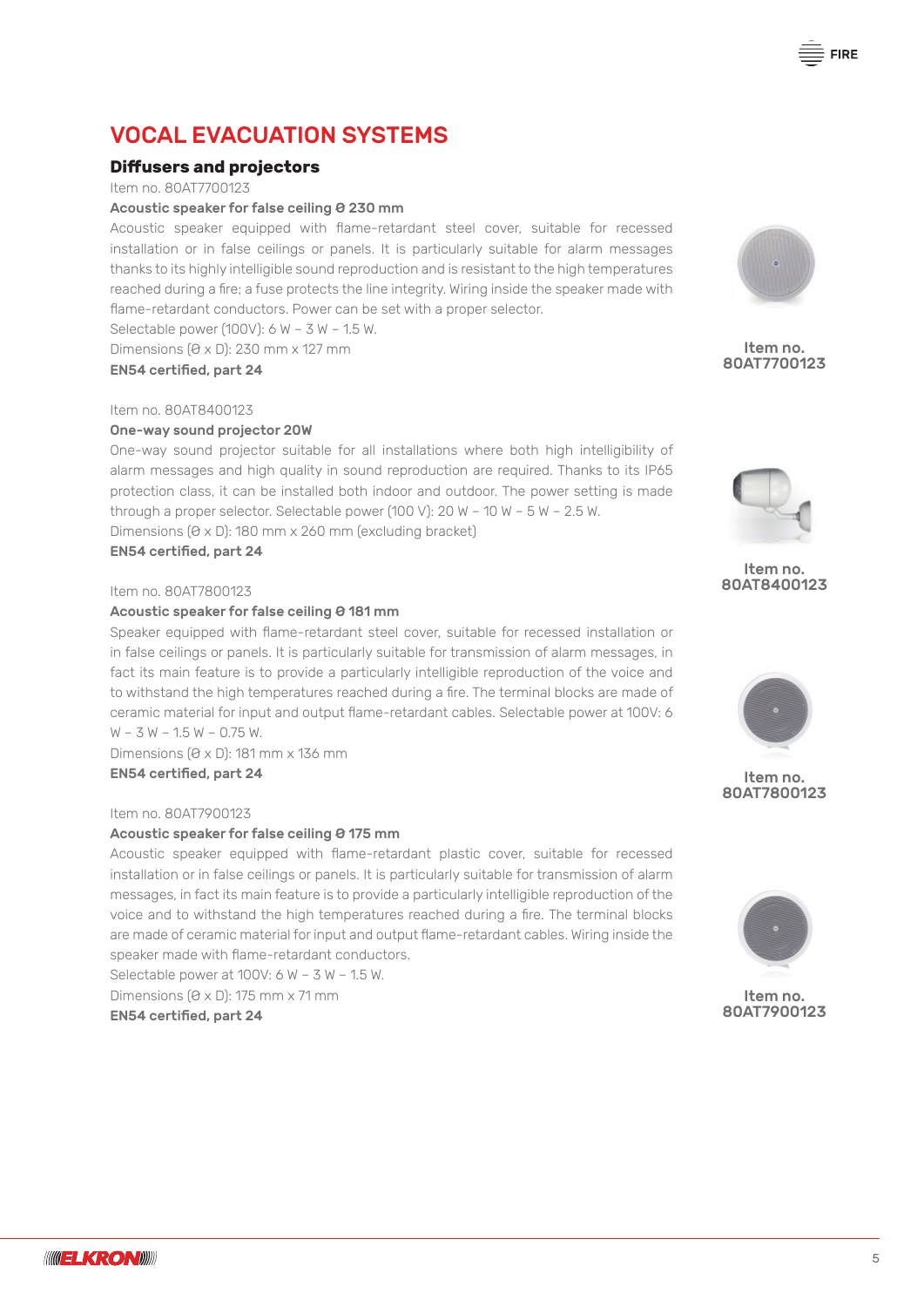## **Diffusers and projectors**

Item no. 80AT7700123

#### Acoustic speaker for false ceiling Ø 230 mm

Acoustic speaker equipped with flame-retardant steel cover, suitable for recessed installation or in false ceilings or panels. It is particularly suitable for alarm messages thanks to its highly intelligible sound reproduction and is resistant to the high temperatures reached during a fire; a fuse protects the line integrity. Wiring inside the speaker made with flame-retardant conductors. Power can be set with a proper selector.

Selectable power (100V):  $6 W - 3 W - 1.5 W$ .

Dimensions (Ø x D): 230 mm x 127 mm

EN54 certified, part 24

Item no. 80AT8400123

### One-way sound projector 20W

One-way sound projector suitable for all installations where both high intelligibility of alarm messages and high quality in sound reproduction are required. Thanks to its IP65 protection class, it can be installed both indoor and outdoor. The power setting is made through a proper selector. Selectable power (100 V): 20 W – 10 W – 5 W – 2.5 W. Dimensions  $(0 \times D)$ : 180 mm x 260 mm (excluding bracket)

EN54 certified, part 24

#### Item no. 80AT7800123

#### Acoustic speaker for false ceiling Ø 181 mm

Speaker equipped with flame-retardant steel cover, suitable for recessed installation or in false ceilings or panels. It is particularly suitable for transmission of alarm messages, in fact its main feature is to provide a particularly intelligible reproduction of the voice and to withstand the high temperatures reached during a fire. The terminal blocks are made of ceramic material for input and output flame-retardant cables. Selectable power at 100V: 6  $W - 3 W - 1.5 W - 0.75 W$ .

Dimensions  $(0 \times 0)$ : 181 mm  $\times$  136 mm EN54 certified, part 24

## Item no. 80AT7900123

#### Acoustic speaker for false ceiling Ø 175 mm

Acoustic speaker equipped with flame-retardant plastic cover, suitable for recessed installation or in false ceilings or panels. It is particularly suitable for transmission of alarm messages, in fact its main feature is to provide a particularly intelligible reproduction of the voice and to withstand the high temperatures reached during a fire. The terminal blocks are made of ceramic material for input and output flame-retardant cables. Wiring inside the speaker made with flame-retardant conductors.

Selectable power at 100V: 6 W – 3 W – 1.5 W.

Dimensions  $(0 \times D)$ : 175 mm  $\times$  71 mm EN54 certified, part 24

**FIRE** 



Item no. 80AT7700123







Item no. 80AT7800123



Item no. 80AT7900123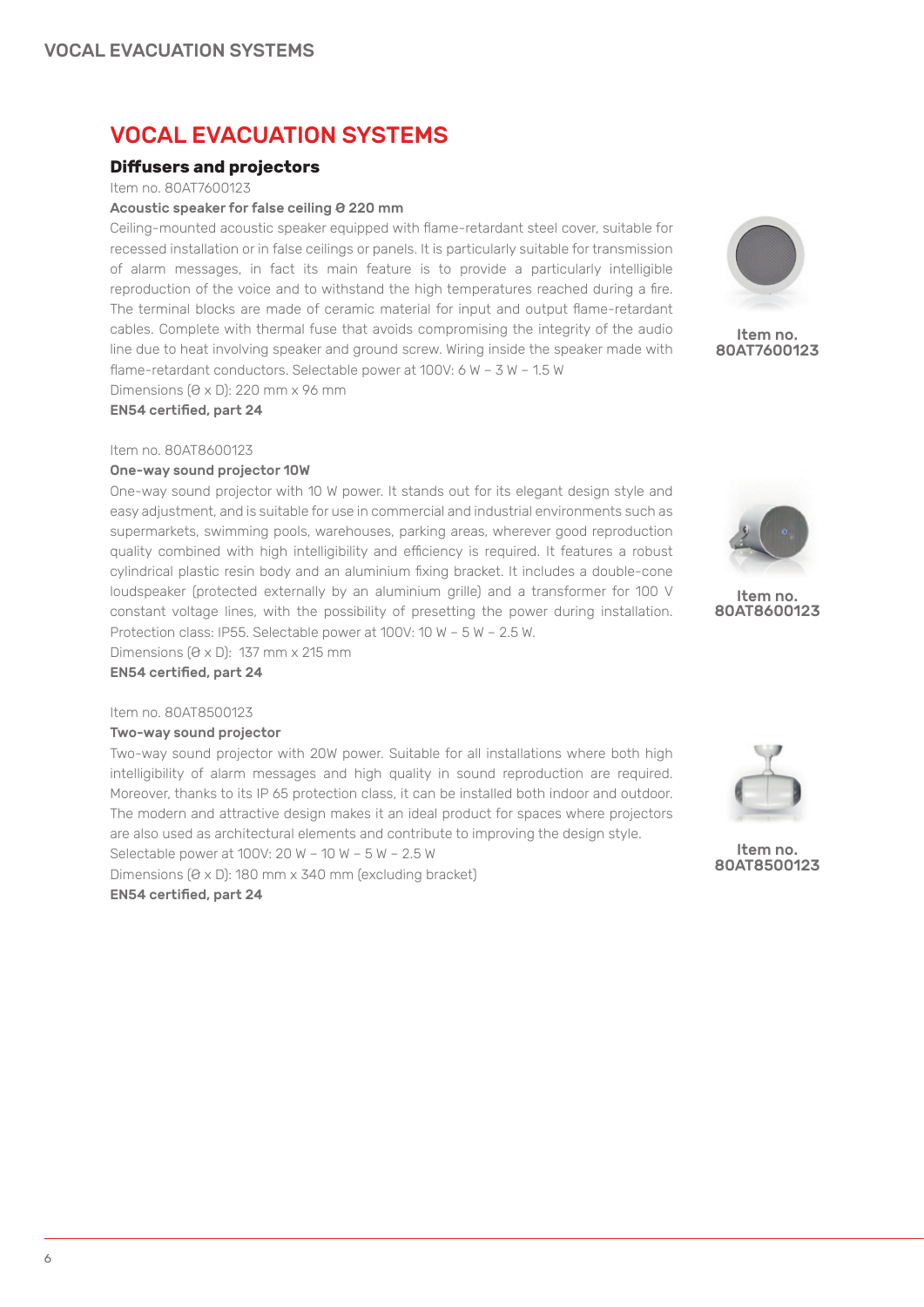## **Diffusers and projectors**

Item no. 80AT7600123

#### Acoustic speaker for false ceiling Ø 220 mm

Ceiling-mounted acoustic speaker equipped with flame-retardant steel cover, suitable for recessed installation or in false ceilings or panels. It is particularly suitable for transmission of alarm messages, in fact its main feature is to provide a particularly intelligible reproduction of the voice and to withstand the high temperatures reached during a fire. The terminal blocks are made of ceramic material for input and output flame-retardant cables. Complete with thermal fuse that avoids compromising the integrity of the audio line due to heat involving speaker and ground screw. Wiring inside the speaker made with flame-retardant conductors. Selectable power at 100V: 6 W – 3 W – 1.5 W

Dimensions (Ø x D): 220 mm x 96 mm

EN54 certified, part 24

#### Item no. 80AT8600123

### One-way sound projector 10W

One-way sound projector with 10 W power. It stands out for its elegant design style and easy adjustment, and is suitable for use in commercial and industrial environments such as supermarkets, swimming pools, warehouses, parking areas, wherever good reproduction quality combined with high intelligibility and efficiency is required. It features a robust cylindrical plastic resin body and an aluminium fixing bracket. It includes a double-cone loudspeaker (protected externally by an aluminium grille) and a transformer for 100 V constant voltage lines, with the possibility of presetting the power during installation. Protection class: IP55. Selectable power at 100V: 10 W – 5 W – 2.5 W.

Dimensions  $(0 \times 0)$ : 137 mm  $\times$  215 mm EN54 certified, part 24

#### Item no. 80AT8500123

#### Two-way sound projector

Two-way sound projector with 20W power. Suitable for all installations where both high intelligibility of alarm messages and high quality in sound reproduction are required. Moreover, thanks to its IP 65 protection class, it can be installed both indoor and outdoor. The modern and attractive design makes it an ideal product for spaces where projectors are also used as architectural elements and contribute to improving the design style.

Selectable power at 100V: 20 W – 10 W – 5 W – 2.5 W

Dimensions  $(0 \times D)$ : 180 mm x 340 mm (excluding bracket)

EN54 certified, part 24



Item no. 80AT7600123



Item no. 80AT8600123



Item no. 80AT850012**3**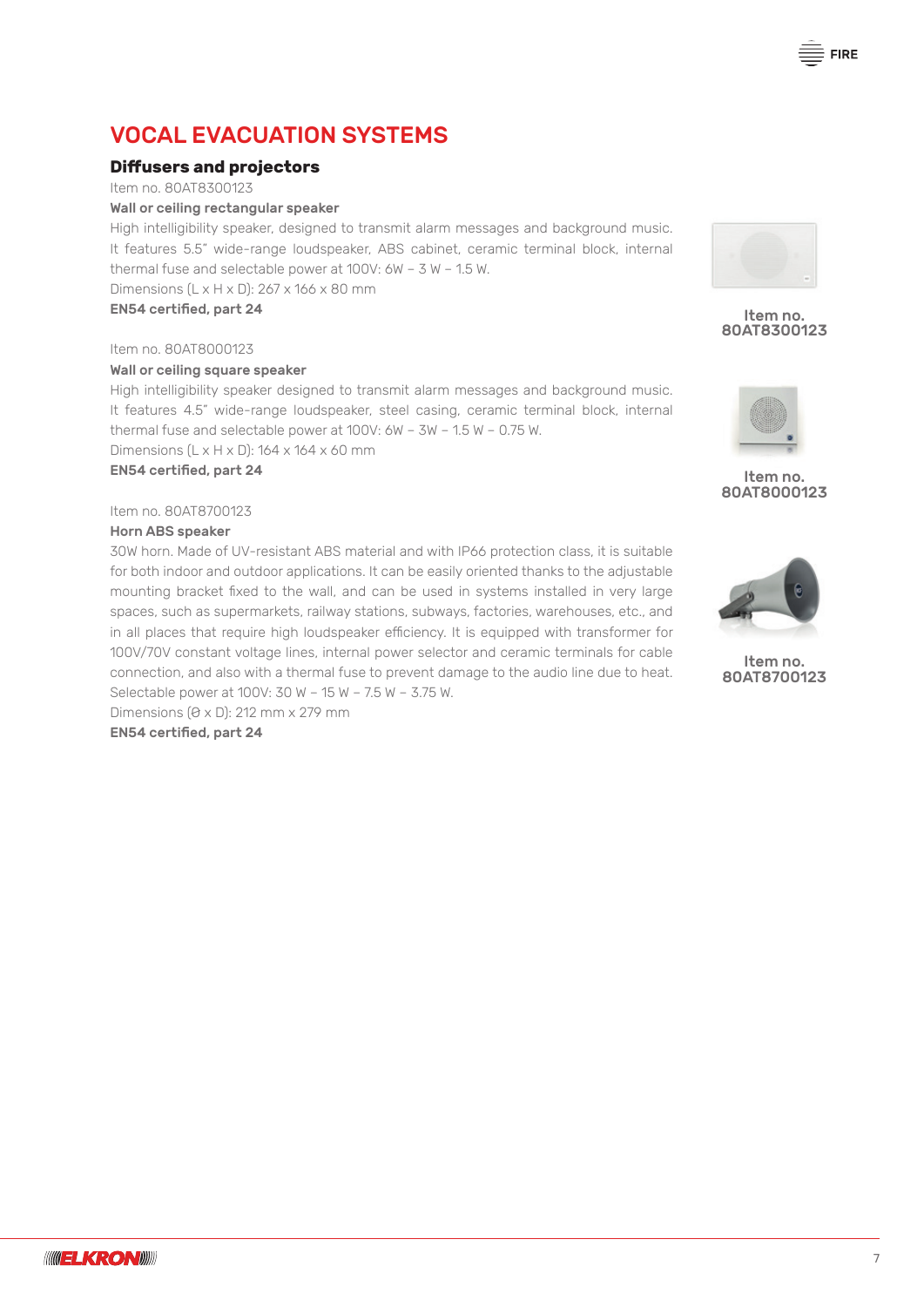## **Diffusers and projectors**

Item no. 80AT8300123

Wall or ceiling rectangular speaker

High intelligibility speaker, designed to transmit alarm messages and background music. It features 5.5" wide-range loudspeaker, ABS cabinet, ceramic terminal block, internal thermal fuse and selectable power at 100V: 6W – 3 W – 1.5 W.

Dimensions (L x H x D): 267 x 166 x 80 mm

EN54 certified, part 24

Item no. 80AT8000123

#### Wall or ceiling square speaker

High intelligibility speaker designed to transmit alarm messages and background music. It features 4.5" wide-range loudspeaker, steel casing, ceramic terminal block, internal thermal fuse and selectable power at 100V: 6W – 3W – 1.5 W – 0.75 W. Dimensions (L x H x D): 164 x 164 x 60 mm

EN54 certified, part 24

Item no. 80AT8700123

#### Horn ABS speaker

30W horn. Made of UV-resistant ABS material and with IP66 protection class, it is suitable for both indoor and outdoor applications. It can be easily oriented thanks to the adjustable mounting bracket fixed to the wall, and can be used in systems installed in very large spaces, such as supermarkets, railway stations, subways, factories, warehouses, etc., and in all places that require high loudspeaker efficiency. It is equipped with transformer for 100V/70V constant voltage lines, internal power selector and ceramic terminals for cable connection, and also with a thermal fuse to prevent damage to the audio line due to heat. Selectable power at 100V: 30 W – 15 W – 7.5 W – 3.75 W.

Dimensions (Ø x D): 212 mm x 279 mm EN54 certified, part 24



Item no. 80AT8300123



## Item no. 80AT8000123



Item no. 80AT8700123